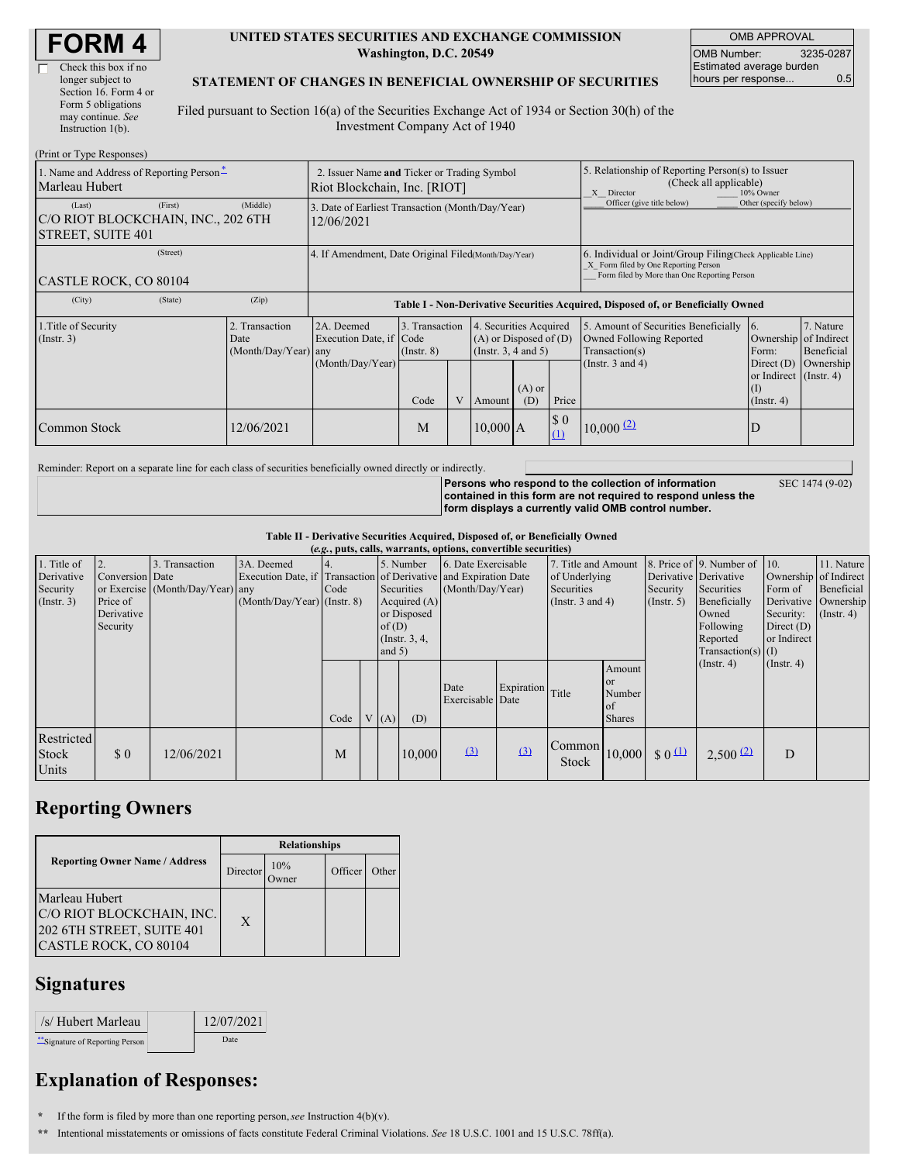$(Print or True Des)$ 

#### **UNITED STATES SECURITIES AND EXCHANGE COMMISSION Washington, D.C. 20549**

OMB APPROVAL OMB Number: 3235-0287 Estimated average burden hours per response... 0.5

#### **STATEMENT OF CHANGES IN BENEFICIAL OWNERSHIP OF SECURITIES**

Filed pursuant to Section 16(a) of the Securities Exchange Act of 1934 or Section 30(h) of the Investment Company Act of 1940

| $(1 \text{ min of 1 ypc respectively})$<br>1. Name and Address of Reporting Person-<br>Marleau Hubert | 2. Issuer Name and Ticker or Trading Symbol<br>Riot Blockchain, Inc. [RIOT] |                                                                                  |                                   |                |                                                                                  |                 | 5. Relationship of Reporting Person(s) to Issuer<br>(Check all applicable)<br>X Director<br>10% Owner                                              |                                                                                                             |                                                       |                                      |
|-------------------------------------------------------------------------------------------------------|-----------------------------------------------------------------------------|----------------------------------------------------------------------------------|-----------------------------------|----------------|----------------------------------------------------------------------------------|-----------------|----------------------------------------------------------------------------------------------------------------------------------------------------|-------------------------------------------------------------------------------------------------------------|-------------------------------------------------------|--------------------------------------|
| (First)<br>(Last)<br>C/O RIOT BLOCKCHAIN, INC., 202 6TH<br>STREET, SUITE 401                          | 3. Date of Earliest Transaction (Month/Day/Year)<br>12/06/2021              |                                                                                  |                                   |                |                                                                                  |                 | Officer (give title below)                                                                                                                         | Other (specify below)                                                                                       |                                                       |                                      |
| (Street)<br>CASTLE ROCK, CO 80104                                                                     | 4. If Amendment, Date Original Filed(Month/Day/Year)                        |                                                                                  |                                   |                |                                                                                  |                 | 6. Individual or Joint/Group Filing Check Applicable Line)<br>X Form filed by One Reporting Person<br>Form filed by More than One Reporting Person |                                                                                                             |                                                       |                                      |
| (City)<br>(State)                                                                                     | (Zip)                                                                       | Table I - Non-Derivative Securities Acquired, Disposed of, or Beneficially Owned |                                   |                |                                                                                  |                 |                                                                                                                                                    |                                                                                                             |                                                       |                                      |
| 1. Title of Security<br>2. Transaction<br>$($ Instr. 3 $)$<br>Date<br>(Month/Day/Year)                |                                                                             | 2A. Deemed<br>Execution Date, if Code<br>any<br>(Month/Day/Year)                 | 3. Transaction<br>$($ Instr. $8)$ |                | 4. Securities Acquired<br>$(A)$ or Disposed of $(D)$<br>(Instr. $3, 4$ and $5$ ) |                 |                                                                                                                                                    | 5. Amount of Securities Beneficially<br>Owned Following Reported<br>Transaction(s)<br>(Instr. $3$ and $4$ ) | 16.<br>Ownership of Indirect<br>Form:<br>Direct $(D)$ | 7. Nature<br>Beneficial<br>Ownership |
|                                                                                                       |                                                                             |                                                                                  | Code                              | $\overline{V}$ | Amount                                                                           | $(A)$ or<br>(D) | Price                                                                                                                                              |                                                                                                             | or Indirect (Instr. 4)<br>(I)<br>$($ Instr. 4)        |                                      |
| Common Stock                                                                                          | 12/06/2021                                                                  |                                                                                  | M                                 |                | $10,000$ A                                                                       |                 | $\boldsymbol{\mathsf{S}}$ 0<br>(1)                                                                                                                 | $10,000$ $(2)$                                                                                              | D                                                     |                                      |

Reminder: Report on a separate line for each class of securities beneficially owned directly or indirectly.

**Persons who respond to the collection of information contained in this form are not required to respond unless the form displays a currently valid OMB control number.** SEC 1474 (9-02)

**Table II - Derivative Securities Acquired, Disposed of, or Beneficially Owned**

| (e.g., puts, calls, warrants, options, convertible securities) |                 |                                  |                               |           |          |                     |                                                                  |                          |                                |                                                                                                                                                                                                                                                                                                                                                                                                                                 |                                                          |                      |                       |                  |                  |
|----------------------------------------------------------------|-----------------|----------------------------------|-------------------------------|-----------|----------|---------------------|------------------------------------------------------------------|--------------------------|--------------------------------|---------------------------------------------------------------------------------------------------------------------------------------------------------------------------------------------------------------------------------------------------------------------------------------------------------------------------------------------------------------------------------------------------------------------------------|----------------------------------------------------------|----------------------|-----------------------|------------------|------------------|
| 1. Title of                                                    |                 | 3. Transaction                   | 3A. Deemed                    | 5. Number |          | 6. Date Exercisable |                                                                  | 7. Title and Amount      |                                |                                                                                                                                                                                                                                                                                                                                                                                                                                 | 8. Price of 9. Number of 10.                             |                      | 11. Nature            |                  |                  |
| Derivative                                                     | Conversion Date |                                  |                               |           |          |                     | Execution Date, if Transaction of Derivative and Expiration Date |                          | of Underlying                  |                                                                                                                                                                                                                                                                                                                                                                                                                                 | Derivative Derivative                                    |                      | Ownership of Indirect |                  |                  |
| Security                                                       |                 | or Exercise (Month/Day/Year) any |                               | Code      |          | Securities          |                                                                  |                          | (Month/Day/Year)<br>Securities |                                                                                                                                                                                                                                                                                                                                                                                                                                 |                                                          | Security             | Securities            | Form of          | Beneficial       |
| (Insert. 3)                                                    | Price of        |                                  | $(Month/Day/Year)$ (Instr. 8) |           |          | Acquired $(A)$      |                                                                  | (Instr. $3$ and $4$ )    |                                | (Insert, 5)                                                                                                                                                                                                                                                                                                                                                                                                                     | Beneficially                                             |                      | Derivative Ownership  |                  |                  |
|                                                                | Derivative      |                                  |                               |           |          |                     | or Disposed                                                      |                          |                                |                                                                                                                                                                                                                                                                                                                                                                                                                                 |                                                          |                      | Owned                 | Security:        | $($ Instr. 4 $)$ |
|                                                                | Security        |                                  |                               |           |          | of(D)               |                                                                  |                          |                                |                                                                                                                                                                                                                                                                                                                                                                                                                                 |                                                          | Following            | Direct $(D)$          |                  |                  |
|                                                                |                 |                                  |                               |           |          |                     | $($ Instr. 3, 4,                                                 |                          |                                |                                                                                                                                                                                                                                                                                                                                                                                                                                 |                                                          |                      | Reported              | or Indirect      |                  |
|                                                                |                 |                                  |                               |           | and $5)$ |                     |                                                                  |                          |                                |                                                                                                                                                                                                                                                                                                                                                                                                                                 |                                                          | Transaction(s) $(I)$ |                       |                  |                  |
|                                                                |                 |                                  |                               | Code      |          | (A)                 | (D)                                                              | Date<br>Exercisable Date | Expiration                     | Title                                                                                                                                                                                                                                                                                                                                                                                                                           | Amount<br>or<br>Number<br><sub>of</sub><br><b>Shares</b> |                      | $($ Instr. 4)         | $($ Instr. 4 $)$ |                  |
| Restricted<br><b>Stock</b><br>Units                            | \$0             | 12/06/2021                       |                               | M         |          |                     | 10,000                                                           | $\Omega$                 | (3)                            | $\begin{array}{ c c c c c }\n\hline \text{Common} & 10,000 & 0 & 0 & \text{if } 0 & \text{if } 0 & \text{if } 0 & \text{if } 0 & \text{if } 0 & \text{if } 0 & \text{if } 0 & \text{if } 0 & \text{if } 0 & \text{if } 0 & \text{if } 0 & \text{if } 0 & \text{if } 0 & \text{if } 0 & \text{if } 0 & \text{if } 0 & \text{if } 0 & \text{if } 0 & \text{if } 0 & \text{if } 0 & \text{if } 0 & \text{if } 0 & \text{$<br>Stock |                                                          |                      | 2,500(2)              | D                |                  |

### **Reporting Owners**

|                                                                                                   | <b>Relationships</b> |                     |         |       |  |  |  |
|---------------------------------------------------------------------------------------------------|----------------------|---------------------|---------|-------|--|--|--|
| <b>Reporting Owner Name / Address</b>                                                             | Director             | 10%<br><b>Twner</b> | Officer | Other |  |  |  |
| Marleau Hubert<br>C/O RIOT BLOCKCHAIN, INC.<br>202 6TH STREET, SUITE 401<br>CASTLE ROCK, CO 80104 | X                    |                     |         |       |  |  |  |

## **Signatures**

| /s/ Hubert Marleau             | 12/07/2021 |
|--------------------------------|------------|
| "Signature of Reporting Person | Date       |

# **Explanation of Responses:**

**\*** If the form is filed by more than one reporting person,*see* Instruction 4(b)(v).

**\*\*** Intentional misstatements or omissions of facts constitute Federal Criminal Violations. *See* 18 U.S.C. 1001 and 15 U.S.C. 78ff(a).